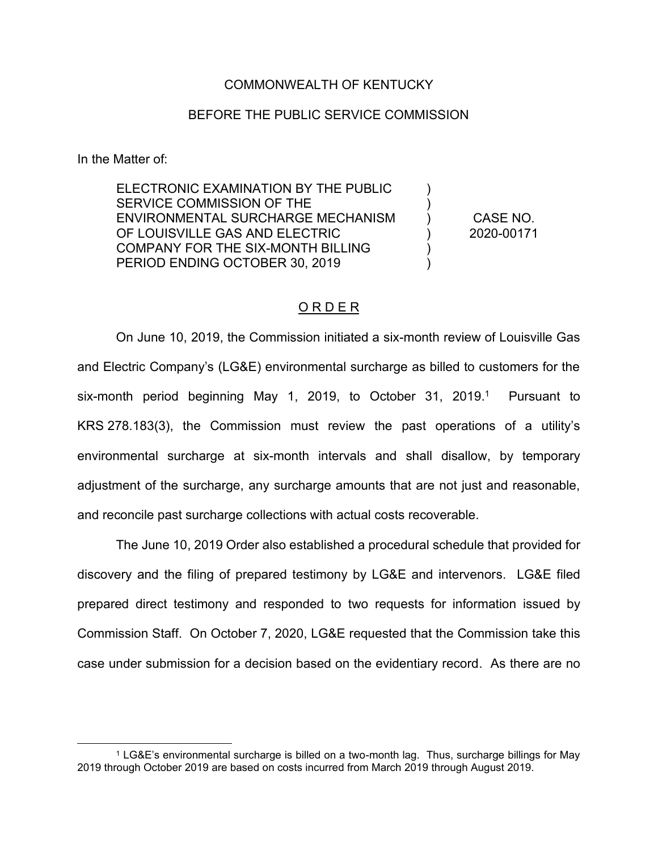## COMMONWEALTH OF KENTUCKY

## BEFORE THE PUBLIC SERVICE COMMISSION

In the Matter of:

ELECTRONIC EXAMINATION BY THE PUBLIC SERVICE COMMISSION OF THE ENVIRONMENTAL SURCHARGE MECHANISM OF LOUISVILLE GAS AND ELECTRIC COMPANY FOR THE SIX-MONTH BILLING PERIOD ENDING OCTOBER 30, 2019

CASE NO. 2020-00171

) ) ) ) ) )

# O R D E R

On June 10, 2019, the Commission initiated a six-month review of Louisville Gas and Electric Company's (LG&E) environmental surcharge as billed to customers for the six-month period beginning May 1, 2019, to October 31, 2019.<sup>1</sup> Pursuant to KRS 278.183(3), the Commission must review the past operations of a utility's environmental surcharge at six-month intervals and shall disallow, by temporary adjustment of the surcharge, any surcharge amounts that are not just and reasonable, and reconcile past surcharge collections with actual costs recoverable.

The June 10, 2019 Order also established a procedural schedule that provided for discovery and the filing of prepared testimony by LG&E and intervenors. LG&E filed prepared direct testimony and responded to two requests for information issued by Commission Staff. On October 7, 2020, LG&E requested that the Commission take this case under submission for a decision based on the evidentiary record. As there are no

<sup>1</sup> LG&E's environmental surcharge is billed on a two-month lag. Thus, surcharge billings for May 2019 through October 2019 are based on costs incurred from March 2019 through August 2019.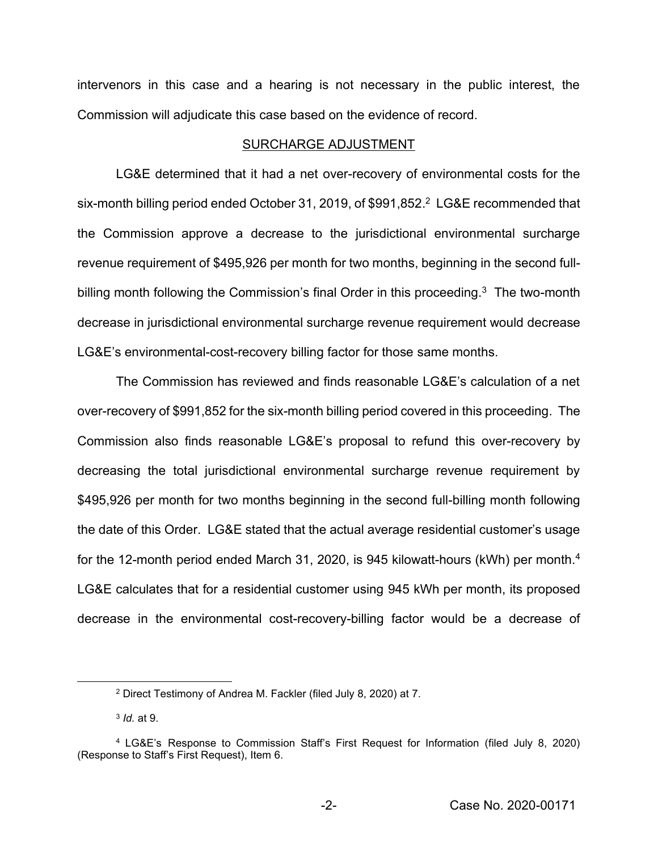intervenors in this case and a hearing is not necessary in the public interest, the Commission will adjudicate this case based on the evidence of record.

#### SURCHARGE ADJUSTMENT

LG&E determined that it had a net over-recovery of environmental costs for the six-month billing period ended October 31, 2019, of \$991,852.<sup>2</sup> LG&E recommended that the Commission approve a decrease to the jurisdictional environmental surcharge revenue requirement of \$495,926 per month for two months, beginning in the second fullbilling month following the Commission's final Order in this proceeding.<sup>3</sup> The two-month decrease in jurisdictional environmental surcharge revenue requirement would decrease LG&E's environmental-cost-recovery billing factor for those same months.

The Commission has reviewed and finds reasonable LG&E's calculation of a net over-recovery of \$991,852 for the six-month billing period covered in this proceeding. The Commission also finds reasonable LG&E's proposal to refund this over-recovery by decreasing the total jurisdictional environmental surcharge revenue requirement by \$495,926 per month for two months beginning in the second full-billing month following the date of this Order. LG&E stated that the actual average residential customer's usage for the 12-month period ended March 31, 2020, is 945 kilowatt-hours (kWh) per month.<sup>4</sup> LG&E calculates that for a residential customer using 945 kWh per month, its proposed decrease in the environmental cost-recovery-billing factor would be a decrease of

<sup>2</sup> Direct Testimony of Andrea M. Fackler (filed July 8, 2020) at 7.

<sup>3</sup> *Id.* at 9.

<sup>4</sup> LG&E's Response to Commission Staff's First Request for Information (filed July 8, 2020) (Response to Staff's First Request), Item 6.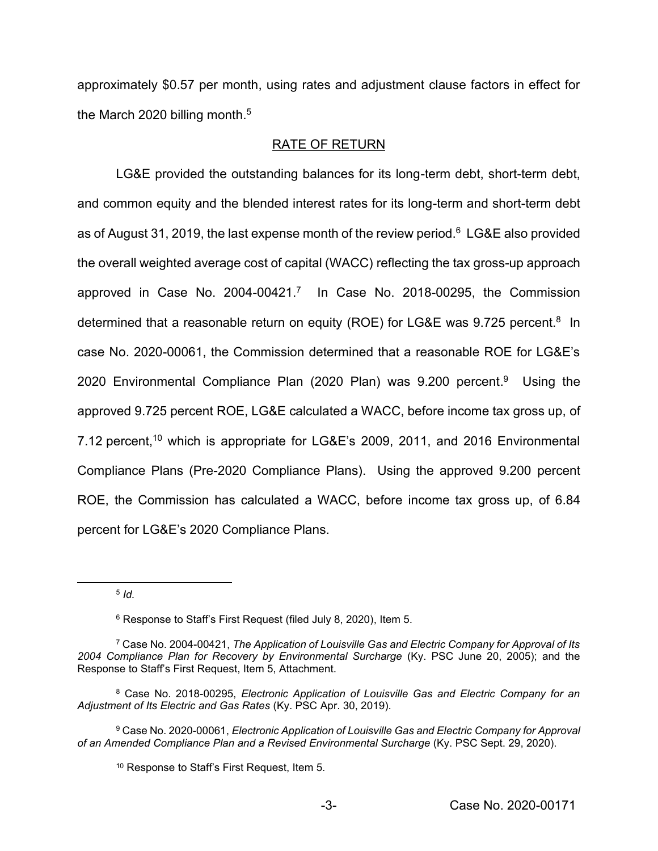approximately \$0.57 per month, using rates and adjustment clause factors in effect for the March 2020 billing month.<sup>5</sup>

# RATE OF RETURN

LG&E provided the outstanding balances for its long-term debt, short-term debt, and common equity and the blended interest rates for its long-term and short-term debt as of August 31, 2019, the last expense month of the review period.<sup>6</sup> LG&E also provided the overall weighted average cost of capital (WACC) reflecting the tax gross-up approach approved in Case No. 2004-00421.7 In Case No. 2018-00295, the Commission determined that a reasonable return on equity (ROE) for LG&E was  $9.725$  percent.<sup>8</sup> In case No. 2020-00061, the Commission determined that a reasonable ROE for LG&E's 2020 Environmental Compliance Plan (2020 Plan) was 9.200 percent. 9 Using the approved 9.725 percent ROE, LG&E calculated a WACC, before income tax gross up, of 7.12 percent,<sup>10</sup> which is appropriate for LG&E's 2009, 2011, and 2016 Environmental Compliance Plans (Pre-2020 Compliance Plans). Using the approved 9.200 percent ROE, the Commission has calculated a WACC, before income tax gross up, of 6.84 percent for LG&E's 2020 Compliance Plans.

<sup>5</sup> *Id.*

<sup>6</sup> Response to Staff's First Request (filed July 8, 2020), Item 5.

<sup>7</sup> Case No. 2004-00421, *The Application of Louisville Gas and Electric Company for Approval of Its 2004 Compliance Plan for Recovery by Environmental Surcharge* (Ky. PSC June 20, 2005); and the Response to Staff's First Request, Item 5, Attachment.

<sup>8</sup> Case No. 2018-00295, *Electronic Application of Louisville Gas and Electric Company for an Adjustment of Its Electric and Gas Rates* (Ky. PSC Apr. 30, 2019).

<sup>9</sup> Case No. 2020-00061, *Electronic Application of Louisville Gas and Electric Company for Approval of an Amended Compliance Plan and a Revised Environmental Surcharge* (Ky. PSC Sept. 29, 2020).

<sup>10</sup> Response to Staff's First Request, Item 5.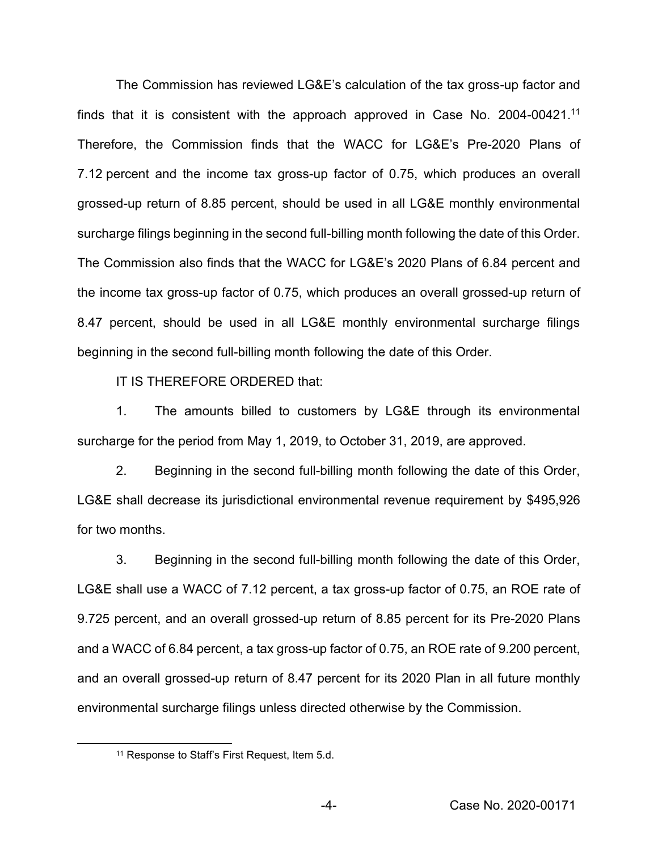The Commission has reviewed LG&E's calculation of the tax gross-up factor and finds that it is consistent with the approach approved in Case No. 2004-00421.<sup>11</sup> Therefore, the Commission finds that the WACC for LG&E's Pre-2020 Plans of 7.12 percent and the income tax gross-up factor of 0.75, which produces an overall grossed-up return of 8.85 percent, should be used in all LG&E monthly environmental surcharge filings beginning in the second full-billing month following the date of this Order. The Commission also finds that the WACC for LG&E's 2020 Plans of 6.84 percent and the income tax gross-up factor of 0.75, which produces an overall grossed-up return of 8.47 percent, should be used in all LG&E monthly environmental surcharge filings beginning in the second full-billing month following the date of this Order.

IT IS THEREFORE ORDERED that:

1. The amounts billed to customers by LG&E through its environmental surcharge for the period from May 1, 2019, to October 31, 2019, are approved.

2. Beginning in the second full-billing month following the date of this Order, LG&E shall decrease its jurisdictional environmental revenue requirement by \$495,926 for two months.

3. Beginning in the second full-billing month following the date of this Order, LG&E shall use a WACC of 7.12 percent, a tax gross-up factor of 0.75, an ROE rate of 9.725 percent, and an overall grossed-up return of 8.85 percent for its Pre-2020 Plans and a WACC of 6.84 percent, a tax gross-up factor of 0.75, an ROE rate of 9.200 percent, and an overall grossed-up return of 8.47 percent for its 2020 Plan in all future monthly environmental surcharge filings unless directed otherwise by the Commission.

<sup>11</sup> Response to Staff's First Request, Item 5.d.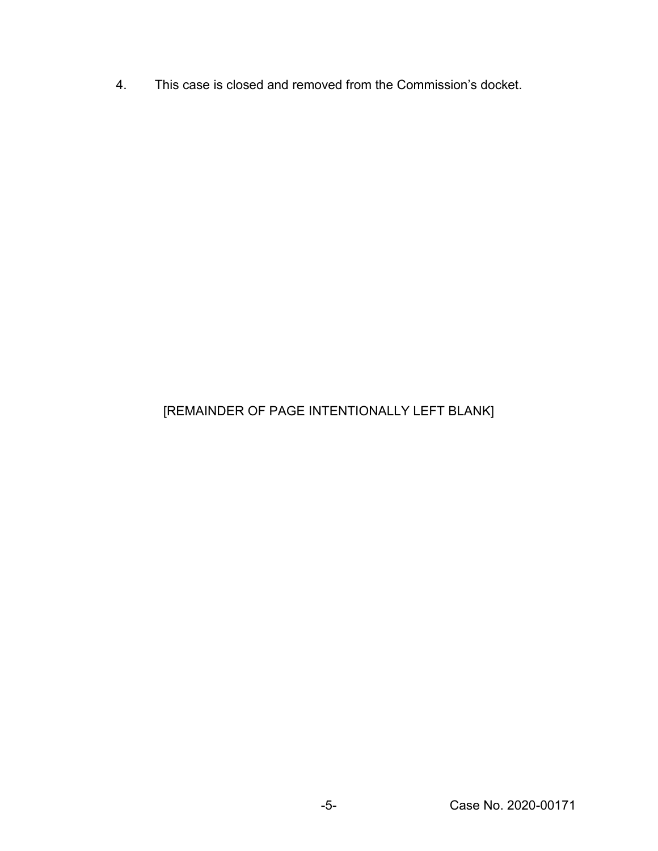4. This case is closed and removed from the Commission's docket.

# [REMAINDER OF PAGE INTENTIONALLY LEFT BLANK]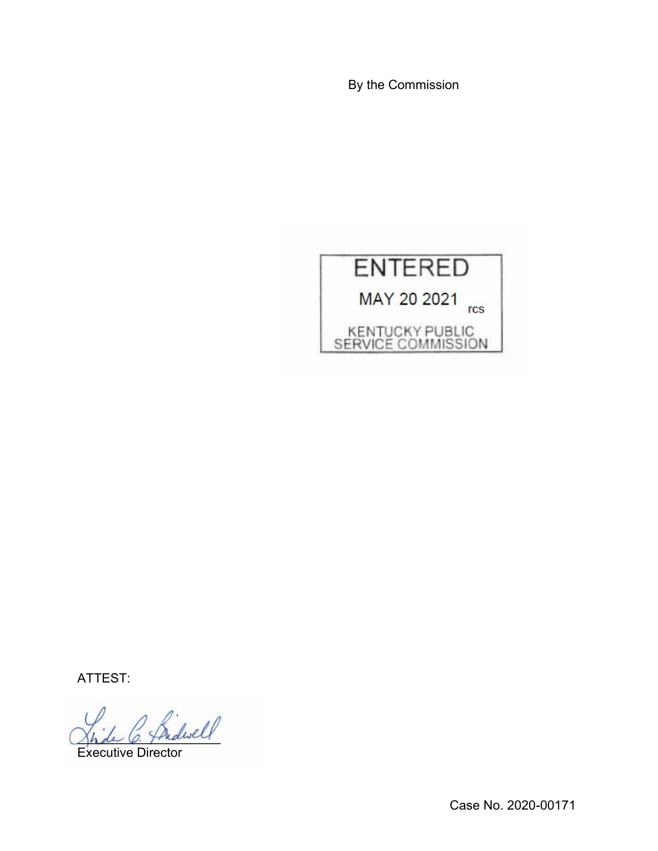By the Commission



ATTEST:

.<br>dwel

Executive Director

Case No. 2020-00171